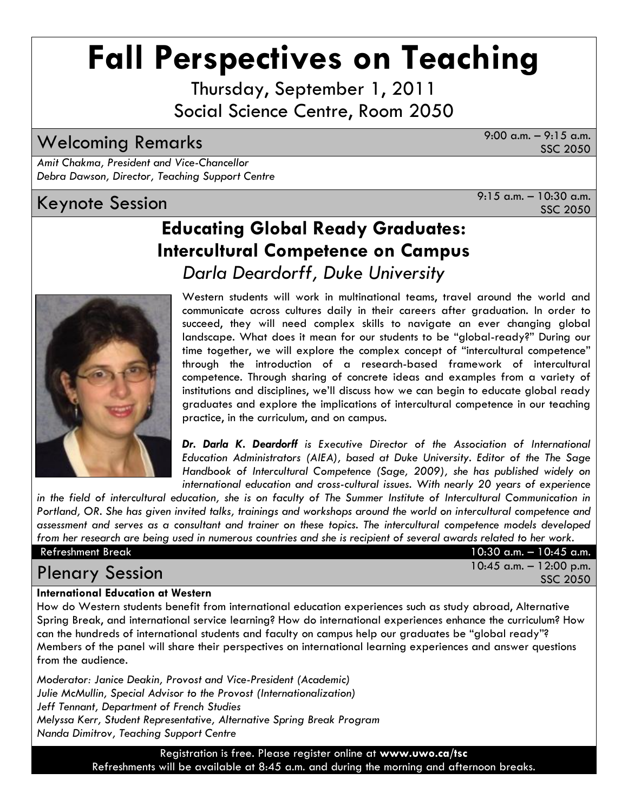# **Fall Perspectives on Teaching**

Thursday, September 1, 2011 Social Science Centre, Room 2050

# Welcoming Remarks 9:00 a.m. – 9:15 a.m.

SSC 2050

*Amit Chakma, President and Vice-Chancellor Debra Dawson, Director, Teaching Support Centre*

# Keynote Session  $\overline{X}$  a.m. – 10:30 a.m.

SSC 2050

# **Educating Global Ready Graduates: Intercultural Competence on Campus** *Darla Deardorff, Duke University*



Western students will work in multinational teams, travel around the world and communicate across cultures daily in their careers after graduation. In order to succeed, they will need complex skills to navigate an ever changing global landscape. What does it mean for our students to be "global-ready?" During our time together, we will explore the complex concept of "intercultural competence" through the introduction of a research-based framework of intercultural competence. Through sharing of concrete ideas and examples from a variety of institutions and disciplines, we'll discuss how we can begin to educate global ready graduates and explore the implications of intercultural competence in our teaching practice, in the curriculum, and on campus.

*Dr. Darla K. Deardorff is Executive Director of the Association of International Education Administrators (AIEA), based at Duke University. Editor of the The Sage Handbook of Intercultural Competence (Sage, 2009), she has published widely on international education and cross-cultural issues. With nearly 20 years of experience* 

*in the field of intercultural education, she is on faculty of The Summer Institute of Intercultural Communication in Portland, OR. She has given invited talks, trainings and workshops around the world on intercultural competence and assessment and serves as a consultant and trainer on these topics. The intercultural competence models developed from her research are being used in numerous countries and she is recipient of several awards related to her work.* 

| Refreshment Break      | $10:30$ a.m. $-10:45$ a.m.             |
|------------------------|----------------------------------------|
| <b>Plenary Session</b> | $10:45$ a.m. $-12:00$ p.m.<br>SSC 2050 |

#### **International Education at Western**

How do Western students benefit from international education experiences such as study abroad, Alternative Spring Break, and international service learning? How do international experiences enhance the curriculum? How can the hundreds of international students and faculty on campus help our graduates be "global ready"? Members of the panel will share their perspectives on international learning experiences and answer questions from the audience.

*Moderator: Janice Deakin, Provost and Vice-President (Academic) Julie McMullin, Special Advisor to the Provost (Internationalization) Jeff Tennant, Department of French Studies Melyssa Kerr, Student Representative, Alternative Spring Break Program Nanda Dimitrov, Teaching Support Centre*

> Registration is free. Please register online at **www.uwo.ca/tsc**  Refreshments will be available at 8:45 a.m. and during the morning and afternoon breaks.